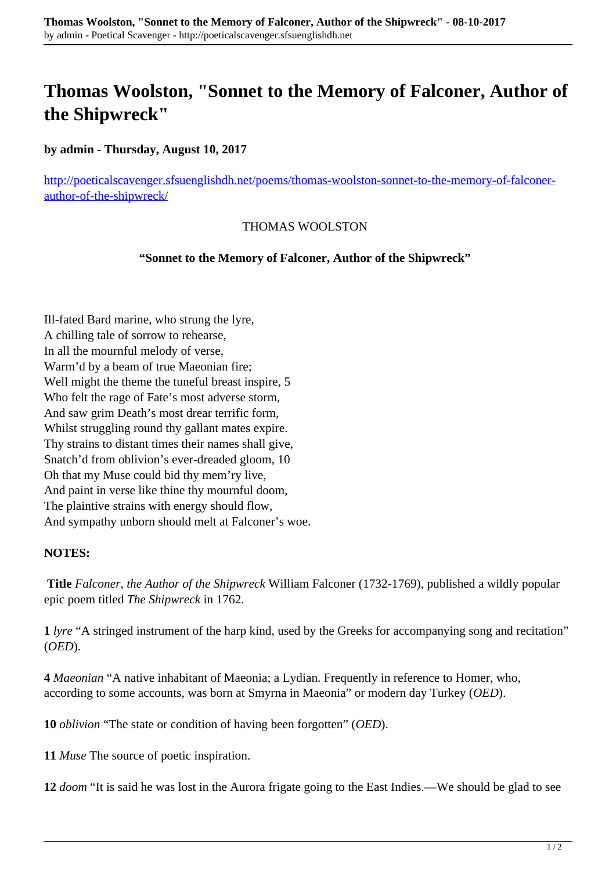## **Thomas Woolston, "Sonnet to the Memory of Falconer, Author of the Shipwreck"**

**by admin - Thursday, August 10, 2017**

[http://poeticalscavenger.sfsuenglishdh.net/poems/thomas-woolston-sonnet-to-the-memory-of-falconer](http://poeticalscavenger.sfsuenglishdh.net/poems/thomas-woolston-sonnet-to-the-memory-of-falconer-author-of-the-shipwreck/)[author-of-the-shipwreck/](http://poeticalscavenger.sfsuenglishdh.net/poems/thomas-woolston-sonnet-to-the-memory-of-falconer-author-of-the-shipwreck/)

## THOMAS WOOLSTON

**"Sonnet to the Memory of Falconer, Author of the Shipwreck"**

Ill-fated Bard marine, who strung the lyre, A chilling tale of sorrow to rehearse, In all the mournful melody of verse, Warm'd by a beam of true Maeonian fire; Well might the theme the tuneful breast inspire, 5 Who felt the rage of Fate's most adverse storm, And saw grim Death's most drear terrific form, Whilst struggling round thy gallant mates expire. Thy strains to distant times their names shall give, Snatch'd from oblivion's ever-dreaded gloom, 10 Oh that my Muse could bid thy mem'ry live, And paint in verse like thine thy mournful doom, The plaintive strains with energy should flow, And sympathy unborn should melt at Falconer's woe.

## **NOTES:**

**Title** *Falconer, the Author of the Shipwreck* William Falconer (1732-1769), published a wildly popular epic poem titled *The Shipwreck* in 1762.

**1** *lyre* "A stringed instrument of the harp kind, used by the Greeks for accompanying song and recitation" (*OED*).

**4** *Maeonian* "A native inhabitant of Maeonia; a Lydian. Frequently in reference to Homer, who, according to some accounts, was born at Smyrna in Maeonia" or modern day Turkey (*OED*).

**10** *oblivion* "The state or condition of having been forgotten" (*OED*).

**11** *Muse* The source of poetic inspiration.

**12** *doom* "It is said he was lost in the Aurora frigate going to the East Indies.—We should be glad to see